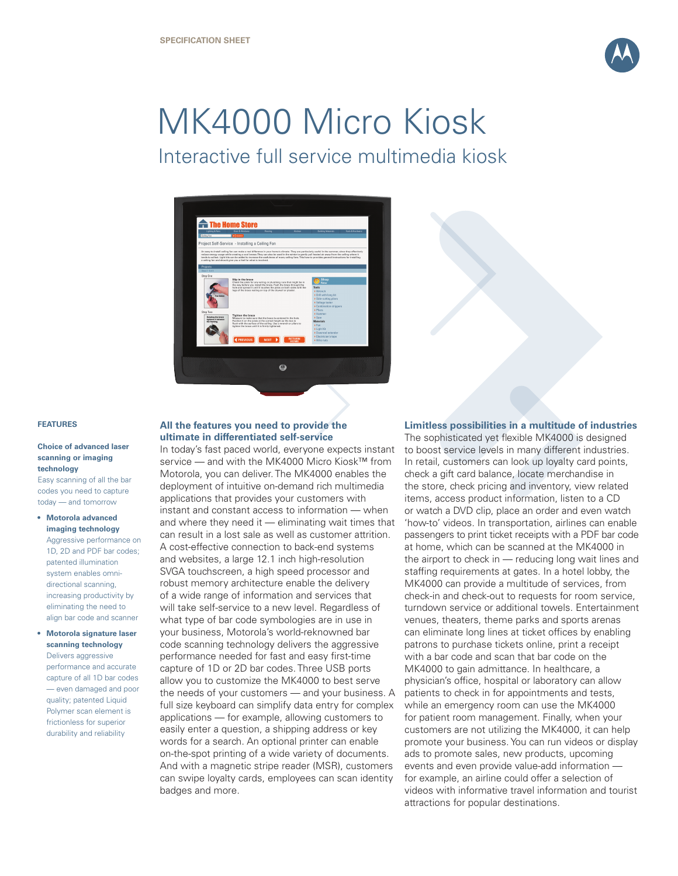

# MK4000 Micro Kiosk Interactive full service multimedia kiosk



#### **FEATURES**

**•**

#### **Choice of advanced laser scanning or imaging technology**

Easy scanning of all the bar codes you need to capture today — and tomorrow

# **Motorola advanced • imaging technology** Aggressive performance on 1D, 2D and PDF bar codes; patented illumination system enables omnidirectional scanning, increasing productivity by eliminating the need to align bar code and scanner

# **Motorola signature laser scanning technology** Delivers aggressive performance and accurate capture of all 1D bar codes — even damaged and poor quality; patented Liquid Polymer scan element is frictionless for superior durability and reliability

# **All the features you need to provide the ultimate in differentiated self-service**

In today's fast paced world, everyone expects instant service — and with the MK4000 Micro Kiosk™ from Motorola, you can deliver. The MK4000 enables the deployment of intuitive on-demand rich multimedia applications that provides your customers with instant and constant access to information — when and where they need it — eliminating wait times that can result in a lost sale as well as customer attrition. A cost-effective connection to back-end systems and websites, a large 12.1 inch high-resolution SVGA touchscreen, a high speed processor and robust memory architecture enable the delivery of a wide range of information and services that will take self-service to a new level. Regardless of what type of bar code symbologies are in use in your business, Motorola's world-reknowned bar code scanning technology delivers the aggressive performance needed for fast and easy first-time capture of 1D or 2D bar codes. Three USB ports allow you to customize the MK4000 to best serve the needs of your customers — and your business. A full size keyboard can simplify data entry for complex applications — for example, allowing customers to easily enter a question, a shipping address or key words for a search. An optional printer can enable on-the-spot printing of a wide variety of documents. And with a magnetic stripe reader (MSR), customers can swipe loyalty cards, employees can scan identity badges and more.

# **Limitless possibilities in a multitude of industries**

The sophisticated yet flexible MK4000 is designed to boost service levels in many different industries. In retail, customers can look up loyalty card points, check a gift card balance, locate merchandise in the store, check pricing and inventory, view related items, access product information, listen to a CD or watch a DVD clip, place an order and even watch 'how-to' videos. In transportation, airlines can enable passengers to print ticket receipts with a PDF bar code at home, which can be scanned at the MK4000 in the airport to check in — reducing long wait lines and staffing requirements at gates. In a hotel lobby, the MK4000 can provide a multitude of services, from check-in and check-out to requests for room service, turndown service or additional towels. Entertainment venues, theaters, theme parks and sports arenas can eliminate long lines at ticket offices by enabling patrons to purchase tickets online, print a receipt with a bar code and scan that bar code on the MK4000 to gain admittance. In healthcare, a physician's office, hospital or laboratory can allow patients to check in for appointments and tests, while an emergency room can use the MK4000 for patient room management. Finally, when your customers are not utilizing the MK4000, it can help promote your business. You can run videos or display ads to promote sales, new products, upcoming events and even provide value-add information for example, an airline could offer a selection of videos with informative travel information and tourist attractions for popular destinations.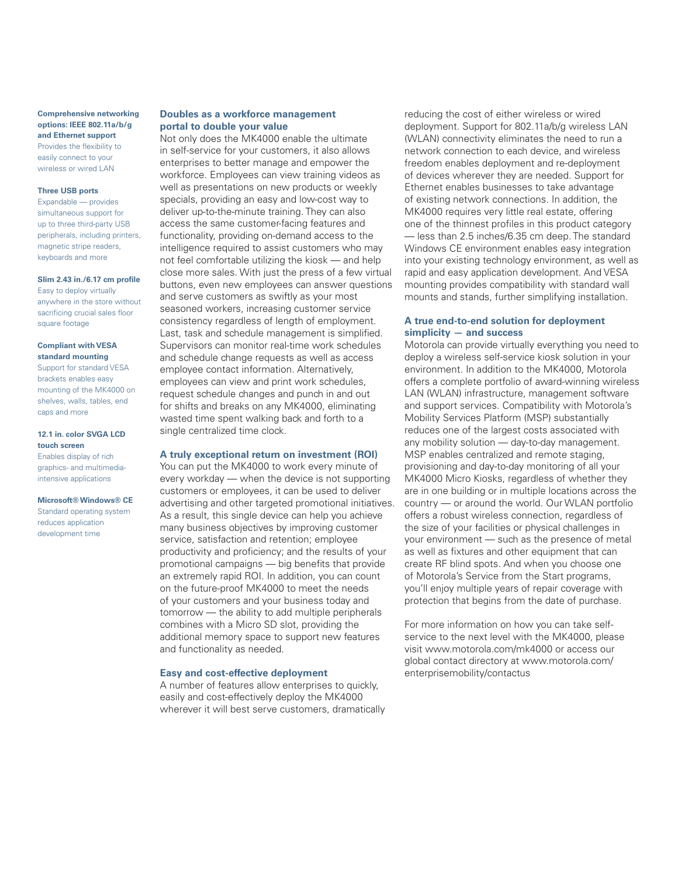**Comprehensive networking options: IEEE 802.11a/b/g and Ethernet support** Provides the flexibility to easily connect to your wireless or wired LAN

#### **Three USB ports**

Expandable — provides simultaneous support for up to three third-party USB peripherals, including printers, magnetic stripe readers, keyboards and more

# **Slim 2.43 in./6.17 cm profile**

Easy to deploy virtually anywhere in the store without sacrificing crucial sales floor square footage

#### **Compliant with VESA standard mounting**

Support for standard VESA brackets enables easy mounting of the MK4000 on shelves, walls, tables, end caps and more

#### **12.1 in. color SVGA LCD touch screen**

Enables display of rich graphics- and multimediaintensive applications

# **Microsoft® Windows® CE**

Standard operating system reduces application development time

# **Doubles as a workforce management portal to double your value**

Not only does the MK4000 enable the ultimate in self-service for your customers, it also allows enterprises to better manage and empower the workforce. Employees can view training videos as well as presentations on new products or weekly specials, providing an easy and low-cost way to deliver up-to-the-minute training. They can also access the same customer-facing features and functionality, providing on-demand access to the intelligence required to assist customers who may not feel comfortable utilizing the kiosk — and help close more sales. With just the press of a few virtual buttons, even new employees can answer questions and serve customers as swiftly as your most seasoned workers, increasing customer service consistency regardless of length of employment. Last, task and schedule management is simplified. Supervisors can monitor real-time work schedules and schedule change requests as well as access employee contact information. Alternatively, employees can view and print work schedules, request schedule changes and punch in and out for shifts and breaks on any MK4000, eliminating wasted time spent walking back and forth to a single centralized time clock.

# **A truly exceptional return on investment (ROI)**

You can put the MK4000 to work every minute of every workday — when the device is not supporting customers or employees, it can be used to deliver advertising and other targeted promotional initiatives. As a result, this single device can help you achieve many business objectives by improving customer service, satisfaction and retention; employee productivity and proficiency; and the results of your promotional campaigns — big benefits that provide an extremely rapid ROI. In addition, you can count on the future-proof MK4000 to meet the needs of your customers and your business today and tomorrow — the ability to add multiple peripherals combines with a Micro SD slot, providing the additional memory space to support new features and functionality as needed.

#### **Easy and cost-effective deployment**

A number of features allow enterprises to quickly, easily and cost-effectively deploy the MK4000 wherever it will best serve customers, dramatically

reducing the cost of either wireless or wired deployment. Support for 802.11a/b/g wireless LAN (WLAN) connectivity eliminates the need to run a network connection to each device, and wireless freedom enables deployment and re-deployment of devices wherever they are needed. Support for Ethernet enables businesses to take advantage of existing network connections. In addition, the MK4000 requires very little real estate, offering one of the thinnest profiles in this product category — less than 2.5 inches/6.35 cm deep. The standard Windows CE environment enables easy integration into your existing technology environment, as well as rapid and easy application development. And VESA mounting provides compatibility with standard wall mounts and stands, further simplifying installation.

# **A true end-to-end solution for deployment simplicity — and success**

Motorola can provide virtually everything you need to deploy a wireless self-service kiosk solution in your environment. In addition to the MK4000, Motorola offers a complete portfolio of award-winning wireless LAN (WLAN) infrastructure, management software and support services. Compatibility with Motorola's Mobility Services Platform (MSP) substantially reduces one of the largest costs associated with any mobility solution — day-to-day management. MSP enables centralized and remote staging, provisioning and day-to-day monitoring of all your MK4000 Micro Kiosks, regardless of whether they are in one building or in multiple locations across the country — or around the world. Our WLAN portfolio offers a robust wireless connection, regardless of the size of your facilities or physical challenges in your environment — such as the presence of metal as well as fixtures and other equipment that can create RF blind spots. And when you choose one of Motorola's Service from the Start programs, you'll enjoy multiple years of repair coverage with protection that begins from the date of purchase.

For more information on how you can take selfservice to the next level with the MK4000, please visit www.motorola.com/mk4000 or access our global contact directory at www.motorola.com/ enterprisemobility/contactus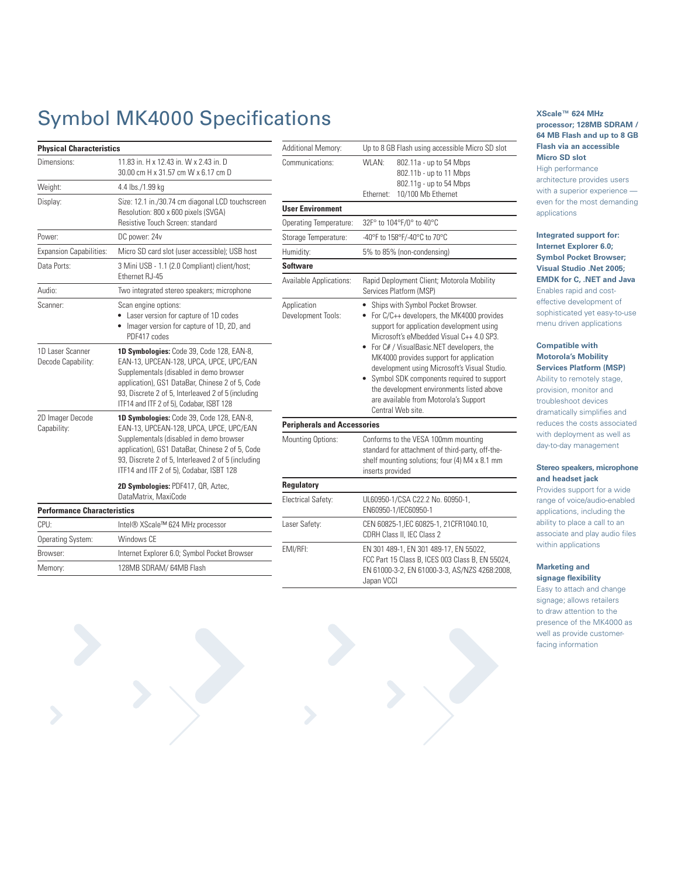# Symbol MK4000 Specifications

| <b>Physical Characteristics</b>        |                                                                                                                                                                                                                                                                                      |
|----------------------------------------|--------------------------------------------------------------------------------------------------------------------------------------------------------------------------------------------------------------------------------------------------------------------------------------|
| Dimensions:                            | 11.83 in. H x 12.43 in. W x 2.43 in. D<br>30.00 cm H x 31.57 cm W x 6.17 cm D                                                                                                                                                                                                        |
| Weight:                                | 4.4 lbs./1.99 kg                                                                                                                                                                                                                                                                     |
| Display:                               | Size: 12.1 in./30.74 cm diagonal LCD touchscreen<br>Resolution: 800 x 600 pixels (SVGA)<br>Resistive Touch Screen: standard                                                                                                                                                          |
| Power:                                 | DC power: 24v                                                                                                                                                                                                                                                                        |
| <b>Expansion Capabilities:</b>         | Micro SD card slot (user accessible); USB host                                                                                                                                                                                                                                       |
| Data Ports:                            | 3 Mini USB - 1.1 (2.0 Compliant) client/host;<br>Ethernet RJ-45                                                                                                                                                                                                                      |
| Audio:                                 | Two integrated stereo speakers; microphone                                                                                                                                                                                                                                           |
| Scanner:                               | Scan engine options:<br>Laser version for capture of 1D codes<br>Imager version for capture of 1D, 2D, and<br>PDF417 codes                                                                                                                                                           |
| 1D Laser Scanner<br>Decode Capability: | 1D Symbologies: Code 39, Code 128, EAN-8,<br>EAN-13, UPCEAN-128, UPCA, UPCE, UPC/EAN<br>Supplementals (disabled in demo browser<br>application), GS1 DataBar, Chinese 2 of 5, Code<br>93, Discrete 2 of 5, Interleaved 2 of 5 (including<br>ITF14 and ITF 2 of 5), Codabar, ISBT 128 |
| 2D Imager Decode<br>Capability:        | 1D Symbologies: Code 39, Code 128, EAN-8,<br>EAN-13, UPCEAN-128, UPCA, UPCE, UPC/EAN<br>Supplementals (disabled in demo browser<br>application), GS1 DataBar, Chinese 2 of 5, Code<br>93, Discrete 2 of 5, Interleaved 2 of 5 (including<br>ITF14 and ITF 2 of 5), Codabar, ISBT 128 |
|                                        | 2D Symbologies: PDF417, QR, Aztec,<br>DataMatrix, MaxiCode                                                                                                                                                                                                                           |
| <b>Performance Characteristics</b>     |                                                                                                                                                                                                                                                                                      |
| CPU:                                   | Intel® XScale™ 624 MHz processor                                                                                                                                                                                                                                                     |
| Operating System:                      | Windows CE                                                                                                                                                                                                                                                                           |
| Browser:                               | Internet Explorer 6.0; Symbol Pocket Browser                                                                                                                                                                                                                                         |

Memory: 128MB SDRAM/ 64MB Flash

| Additional Memory:                 | Up to 8 GB Flash using accessible Micro SD slot                                                                                                                                                                                                                                                                                                                                                                                                                                  |
|------------------------------------|----------------------------------------------------------------------------------------------------------------------------------------------------------------------------------------------------------------------------------------------------------------------------------------------------------------------------------------------------------------------------------------------------------------------------------------------------------------------------------|
| Communications:                    | WI AN <sup>.</sup><br>802.11a - up to 54 Mbps<br>802.11b - up to 11 Mbps<br>802.11g - up to 54 Mbps<br>10/100 Mb Ethernet<br>Ethernet:                                                                                                                                                                                                                                                                                                                                           |
| <b>User Environment</b>            |                                                                                                                                                                                                                                                                                                                                                                                                                                                                                  |
| Operating Temperature:             | 32F° to 104°F/0° to 40°C                                                                                                                                                                                                                                                                                                                                                                                                                                                         |
| Storage Temperature:               | -40°F to 158°F/-40°C to 70°C                                                                                                                                                                                                                                                                                                                                                                                                                                                     |
| Humidity:                          | 5% to 85% (non-condensing)                                                                                                                                                                                                                                                                                                                                                                                                                                                       |
| <b>Software</b>                    |                                                                                                                                                                                                                                                                                                                                                                                                                                                                                  |
| Available Applications:            | Rapid Deployment Client; Motorola Mobility<br>Services Platform (MSP)                                                                                                                                                                                                                                                                                                                                                                                                            |
| Application<br>Development Tools:  | Ships with Symbol Pocket Browser.<br>٠<br>For C/C++ developers, the MK4000 provides<br>٠<br>support for application development using<br>Microsoft's eMbedded Visual C++ 4.0 SP3.<br>For C# / VisualBasic.NET developers, the<br>MK4000 provides support for application<br>development using Microsoft's Visual Studio.<br>Symbol SDK components required to support<br>the development environments listed above<br>are available from Motorola's Support<br>Central Web site. |
| <b>Peripherals and Accessories</b> |                                                                                                                                                                                                                                                                                                                                                                                                                                                                                  |
| <b>Mounting Options:</b>           | Conforms to the VESA 100mm mounting<br>standard for attachment of third-party, off-the-<br>shelf mounting solutions; four (4) M4 x 8.1 mm<br>inserts provided                                                                                                                                                                                                                                                                                                                    |
| <b>Regulatory</b>                  |                                                                                                                                                                                                                                                                                                                                                                                                                                                                                  |
| Electrical Safety:                 | UL60950-1/CSA C22.2 No. 60950-1,<br>EN60950-1/IEC60950-1                                                                                                                                                                                                                                                                                                                                                                                                                         |
| Laser Safety:                      | CEN 60825-1, IEC 60825-1, 21CFR1040.10,<br>CDRH Class II, IEC Class 2                                                                                                                                                                                                                                                                                                                                                                                                            |
| EMI/RFI:                           | EN 301 489-1, EN 301 489-17, EN 55022,<br>FCC Part 15 Class B, ICES 003 Class B, EN 55024,<br>EN 61000-3-2, EN 61000-3-3, AS/NZS 4268:2008,<br>Japan VCCI                                                                                                                                                                                                                                                                                                                        |

# **XScale™ 624 MHz processor; 128MB SDRAM / 64 MB Flash and up to 8 GB Flash via an accessible Micro SD slot** High performance architecture provides users with a superior experience even for the most demanding applications

# **Integrated support for: Internet Explorer 6.0; Symbol Pocket Browser; Visual Studio .Net 2005; EMDK for C, .NET and Java** Enables rapid and costeffective development of sophisticated yet easy-to-use menu driven applications

# **Compatible with Motorola's Mobility Services Platform (MSP)**

Ability to remotely stage, provision, monitor and troubleshoot devices dramatically simplifies and reduces the costs associated with deployment as well as day-to-day management

# **Stereo speakers, microphone and headset jack**

Provides support for a wide range of voice/audio-enabled applications, including the ability to place a call to an associate and play audio files within applications

# **Marketing and signage flexibility**

Easy to attach and change signage; allows retailers to draw attention to the presence of the MK4000 as well as provide customerfacing information